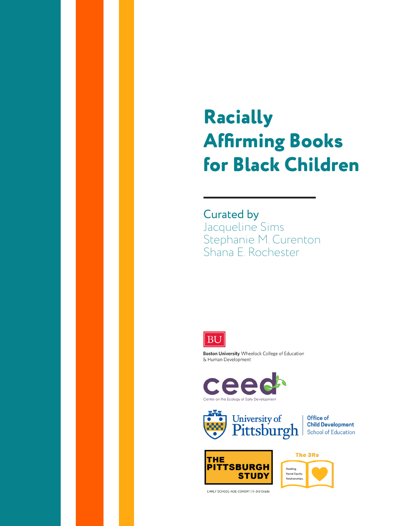## **Racially Affirming Books for Black Children**

Curated by Jacqueline Sims Stephanie M. Curenton Shana E. Rochester



Boston University Wheelock College of Education & Human Development





Office of **Child Development School of Education** 





EARLY SCHOOL-AGE COHORT | K-3rd Grade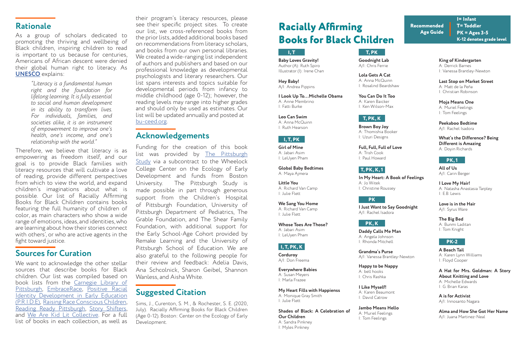As a group of scholars dedicated to promoting the thriving and wellbeing of Black children, inspiring children to read is important to us because for centuries, Americans of African descent were denied their global human right to literacy. As **[UNESCO](https://www.facebook.com/unesco/photos/literacy-is-a-fundamental-human-right-and-the-foundation-for-lifelong-learning-i/10153603479238390/)** explains:

## **Sources for Curation**

We want to acknowledge the other stellar sources that describe books for Black children. Our list was compiled based on book lists from the [Carnegie Library of](https://www.carnegielibrary.org/staff-picks/)  [Pittsburgh,](https://www.carnegielibrary.org/staff-picks/) [EmbraceRace,](https://www.embracerace.org/) [Positive Racial](https://www.racepride.pitt.edu/) [Identity Development in Early Education](https://www.racepride.pitt.edu/)  [\(P.R.I.D.E\),](https://www.racepride.pitt.edu/) [Raising Race Conscious Children,](http://www.raceconscious.org/childrens-books/) [Reading Ready Pittsburgh](https://www.readingreadypittsburgh.org/), [Story Shifters,](https://www.thestoryshifters.com/) and [We Are Kid Lit Collective.](https://wtpsite.com/) For a full list of books in each collection, as well as

their program's literacy resources, please see their specific project sites. To create our list, we cross-referenced books from the prior lists, added additional books based on recommendations from literacy scholars, and books from our own personal libraries. We created a wide-ranging list independent of authors and publishers and based on our professional knowledge as developmental psychologists and literary researchers. Our list spans interests and topics suitable for developmental periods from infancy to middle childhood (age 0-12); however, the reading levels may range into higher grades and should only be used as estimates. Our list will be updated annually and posted at [bu-ceed.org.](https://www.bu-ceed.org/) **Rationale Rationale Racially Affirming** 

> Funding for the creation of this book list was provided by [The Pittsburgh](https://www.chp.edu/research/pittsburgh-study) [Study](https://www.chp.edu/research/pittsburgh-study) via a subcontract to the Wheelock College Center on the Ecology of Early Development and funds from Boston University. The Pittsburgh Study is made possible in part through generous support from the Children's Hospital of Pittsburgh Foundation, University of Pittsburgh Department of Pediatrics, The Grable Foundation, and The Shear Family Foundation, with additional support for the Early School-Age Cohort provided by Remake Learning and the University of Pittsburgh School of Education. We are also grateful to the following people for their review and feedback: Adelia Davis, Ana Schcolnick, Sharon Geibel, Shannon Wanless, and Aisha White.

Sims, J., Curenton, S. M., & Rochester, S. E. (2020, July). Racially Affirming Books for Black Children (Age 0-12). Boston: Center on the Ecology of Early Development.

### **Acknowledgements**

## **Suggested Citation**

# **Books for Black Children**

**Baby Loves Gravity!** Author (A): Ruth Spiro Illustrator (I): Irene Chan

**I= Infant T= Toddler PK = Ages 3-5**

**K-12 denotes grade level**



**Recommended Age Guide**

**Hey Baby!** A/I: Andrea Pippins

**I Look Up To...Michelle Obama** A: Anne Membrino I: Fatti Burke

**Leo Can Swim** A: Anna McQuinn I: Ruth Hearson

#### **I, T, PK**

**Girl of Mine** A: Jabari Asim I: LeUyen Pham

**Global Baby Bedtimes** A: Maya Ajmera

**Little You** A: Richard Van Camp I: Julie Flett

**We Sang You Home** A: Richard Van Camp I: Julie Flett

**Whose Toes Are Those?** A: Jabari Asim I: LeUyen Pham

#### **I, T, PK, K**

**Corduroy** A/I: Don Freema

**Everywhere Babies** A: Susan Meyers I: Marla Frazee

**My Heart Fills with Happienss** A: Monique Gray Smith I: Julie Flett

**Shades of Black: A Celebration of Our Children** A: Sandra Pinkney

I: Myles Pinkney

**Goodnight Lab** A/I: Chris Ferrie

#### **T, PK**

**Lola Gets A Cat** A: Anna McQuinn I: Rosalind Beardshaw

**You Can Do It Too** A: Karen Baicker I: Ken Wilson-Max

#### **T, PK, K**

**Brown Boy Joy** A: Thomishia Booker I: Uzuri Designs

**Full, Full, Full of Love** A: Trish Cook I: Paul Howard

#### **T, PK, K, 1**

**In My Heart: A Book of Feelings** 

A: Jo Witek I: Christine Roussey

#### **PK**

**Grandma's Purse** A/I: Vanessa Brantley-Newton

**Happy to be Nappy** A: bell hooks I: Chris Rashka

**I Like Myself!** A: Karen Beaumont I: David Catrow

**Jambo Means Hello** A: Muriel Feelings

I: Tom Feelings

**I Just Want to Say Goodnight**

A/I: Rachel Isadora

**Last Stop on Market Street** A: Matt de la Peña I: Christian Robinson

**Moja Means One** A: Muriel Feelings I: Tom Feelings

**Peekaboo Bedtime** A/I: Rachel Isadora

**What's the Difference? Being Different is Amazing** A: Doyin Richards

**King of Kindergarten** A: Derrick Barnes

I: Vanessa Brantley-Newton

#### **PK, K**

**Daddy Calls Me Man** A: Angela Johnson I: Rhonda Mitchell

#### **PK, 1**

**All of Us** A/I: Carin Berger

**Love is in the Hair** A/I: Syrus Ware

**The Big Bed** A: Bunmi Laditan I: Tom Knight

**I Love My Hair!** A: Natasha Anastasia Tarpley I: E.B. Lewis

#### **PK-2**

**A Beach Tail** A: Karen Lynn Williams I: Floyd Cooper

**A Hat for Mrs. Goldman: A Story About Knitting and Love** A: Michelle Edwards I: G. Brian Karas

**A is for Activist** A/I: Innosanto Nagara

**Alma and How She Got Her Name** A/I: Juana Martinez-Neal

*"Literacy is a fundamental human right and the foundation for lifelong learning. It is fully essential to social and human development in its ability to transform lives. For individuals, families, and societies alike, it is an instrument of empowerment to improve one's health, one's income, and one's relationship with the world."* 

Therefore, we believe that literacy is as empowering as freedom itself, and our goal is to provide Black families with literacy resources that will cultivate a love of reading, provide different perspectives from which to view the world, and expand children's imaginations about what is possible. Our list of Racially Affirming Books for Black Children contains books featuring the full humanity of children of color, as main characters who show a wide range of emotions, ideas, and identities, who are learning about how their stories connect with others', or who are active agents in the fight toward justice.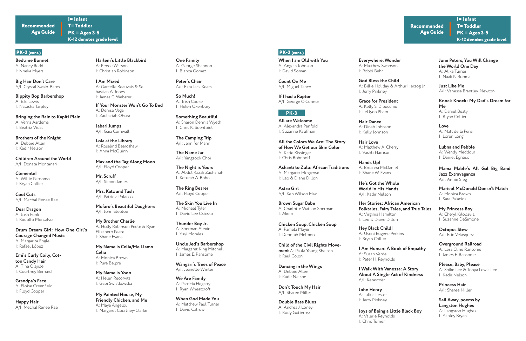**Bedtime Bonnet** A: Nancy Redd I: Nneka Myers

**I= Infant**

**T= Toddler PK = Ages 3-5 K-12 denotes grade level**

#### **PK-2 (cont.)**

**Recommended Age Guide**

**Big Hair Don't Care** A/I: Crystal Swain-Bates

**Bippity Bop Barbershop** A: E.B. Lewis I: Natasha Tarpley

**Bringing the Rain to Kapiti Plain** A: Verna Aardema I: Beatriz Vidal

**Brothers of the Knight** A: Debbie Allen I: Kadir Nelson

**Children Around the World** A/I: Donata Montanari

**Clemente!** A: Willie Perdomo I: Bryan Collier

**Emi's Curly Coily, Cotton Candy Hair** A: Tina Olajide I: Courtney Bernard

**Peter's Chair** A/I: Ezra Jack Keats

**So Much!** A: Trish Cooke I: Helen Oxenbury

**One Family** A: George Shannon I: Blanca Gomez

**The Camping Trip** A/I: Jennifer Mann

**Something Beautiful** A: Sharon Dennis Wyeth I: Chris K. Soentpiet

**Thunder Boy Jr.**  A: Sherman Alexie I: Yuyi Morales

**Wangari's Trees of Peace** A/I: Jeanette Winter

**Cool Cuts** A/I: Mechal Renee Rae

**Dear Dragon** A: Josh Funk I: Rodolfo Montalvo

**Drum Dream Girl: How One Girl's Courage Changed Music** A: Margarita Engle I: Rafael López

**Grandpa's Face** A: Eloise Greenfield I: Floyd Cooper

**Happy Hair** A/I: Mechal Renee Rae

**Harlem's Little Blackbird** A: Renee Watson I: Christian Robinson

**I Am Mixed** A: Garcelle Beauvais & Sebastian A. Jones I: James C. Webster

**If Your Monster Won't Go To Bed**  A: Denise Vega I: Zachariah Ohora

**Jabari Jumps** A/I: Gaia Cornwall

**Lola at the Library** A: Rosalind Beardshaw I: Anna McQuinn

**My Name is Celia/Me Llamo Celia** A: Monica Brown I: Puré Belpré

**Max and the Tag Along Moon** A/I: Floyd Cooper

**Mr. Scruff** A/I: Simon James

**My Brother Charlie** A: Holly Robinson Peete & Ryan Elizabeth Peete I: Shane Evans

**My Name is Yoon** A: Helen Recorvits I: Gabi Swiatkowska

**Mrs. Katz and Tush** A/I: Patricia Polacco

**Mufaro's Beautiful Daughters**  A/I: John Steptoe

**My Painted House, My Friendly Chicken, and Me**  A: Maya Angelou I: Margaret Courtney-Clarke **The Name Jar** A/I: Yangsook Choi

**The Night is Yours** A: Abdul Razak Zachariah I: Keturah A. Bobo

**The Ring Bearer** A/I: Floyd Cooper

**The Skin You Live In** A: Michael Tyler I: David Lee Csicsko

**Uncle Jed's Barbershop** A: Margaret King Mitchell I: James E. Ransome

**When God Made You** A: Matthew Paul Turner I: David Catrow

**We Are Family**  A: Patricia Hegarty I: Ryan Wheatcroft

**When I am Old with You** A: Angela Johnson I: David Soman

**I= Infant T= Toddler PK = Ages 3-5 K-12 denotes grade level**

**Recommended Age Guide**

#### **PK-2 (cont.)**

**Count On Me** A/I: Miguel Tanco

**If I had a Raptor** A/I: George O'Connor

#### **PK-3**

**All are Welcome** A: Alexandra Penfold I: Suzanne Kaufman

**All the Colors We Are: The Story of How We Get our Skin Color** A: Katie Kissinger I: Chris Bohnhoff

**Ashanti to Zulu: African Traditions** A: Margaret Musgrove I: Leo & Diane Dillon

**Astro Girl**  A/I: Ken Wilson Max

**Brown Sugar Babe** A: Charlotte Watson Sherman I: Akem

**Chicken Soup, Chicken Soup** A: Pamela Mayer I: Deborah Melmon

**Child of the Civil Rights Movement** A: Paula Young Shelton I: Raul Colon

**Don't Touch My Hair** A/I: Sharee Miller

**Double Bass Blues** A: Andrea J. Loney I: Rudy Gutierrez

**Dancing in the Wings** A: Debbie Allen I: Kadir Nelson

**God Bless the Child**  A: Billie Holiday & Arthur Herzog Jr. I: Jerry Pinkney

**Everywhere, Wonder** A: Matthew Swanson I: Robbi Behr

**Grace for President** A: Kelly S. Dipucchio I: LeUyen Pham

**Hair Love** A: Matthew A. Cherry I: Vashti Harrison

**Hair Dance** A: Dinah Johnson I: Kelly Johnson

**Hands Up!** A: Breanna McDaniel I: Shane W. Evans

**Hey Black Child!** A: Useni Eugene Perkins I: Bryan Collier

**I Walk With Vanessa: A Story About A Single Act of Kindness** A/I: Kerascoët

**He's Got the Whole World in His Hands** A/I: Kadir Nelson

**Her Stories: African American Folktales, Fairy Tales, and True Tales** A: Virginia Hamilton I: Leo & Diane Dillon

**I Am Human: A Book of Empathy** A: Susan Verde I: Peter H. Reynolds

**John Henry** A: Julius Lester I: Jerry Pinkney

**Joys of Being a Little Black Boy** A: Valerie Reynolds I: Chris Turner

**June Peters, You Will Change the World One Day** A: Alika Turner

I: Naafi N Rohma

**Just Like Me** A/I: Vanessa Brantley-Newton

**Knock Knock: My Dad's Dream for Me** A: Daniel Beaty

I: Bryan Collier

**Love** A: Matt de la Peña I: Loren Long

**Lubna and Pebble** A: Wendy Meddour I: Daniel Egnéus

**Mama Mable's All Gal Big Band Jazz Extravaganza** A/I: Annie Sieg

**My Princess Boy** A: Cheryl Kilodavis. I: Suzanne DeSimone

**Marisol McDonald Doesn't Match** A: Monica Brown I: Sara Palacios

**Please, Baby, Please** A: Spike Lee & Tonya Lewis Lee I: Kadir Nelson

**Overground Railroad** A: Lesa Cline Ransome I: James E. Ransome

**Octopus Stew** A/I: Eric Velasquez

**Princess Hair** A/I: Sharee Miller

**Sail Away, poems by Langston Hughes** A: Langston Hughes I: Ashley Bryan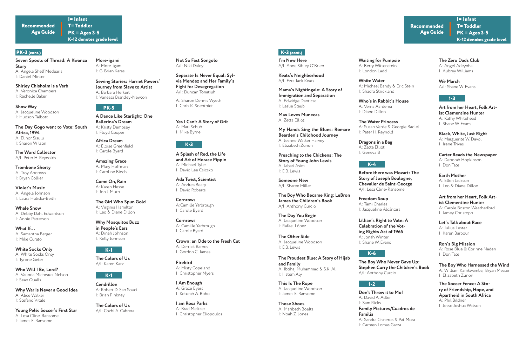**I= Infant**

**T= Toddler PK = Ages 3-5 K-12 denotes grade level**

#### **PK-3 (cont.)**

**Recommended Age Guide**

**Show Way** A: Jacqueline Woodson I: Hudson Talbott

**Not So Fast Songolo** A/I: Niki Daley

A: Sharon Dennis Wyeth I: Chris K. Soentpiet

**The Word Collector** A/I: Peter H. Reynolds

**Trombone Shorty** A: Troy Andrews I: Bryan Collier

**The Day Gogo went to Vote: South Africa, 1994** A: Elinor Sisulu I: Sharon Wilson

**More-igami** A: More-igami I: G. Brian Karas

> **Sewing Stories: Harriet Powers' Journey from Slave to Artist** A: Barbara Herkert I: Vanessa Brantley-Newton

**Africa Dream** A: Eloise Greenfield I: Carole Byard

**Yes I Can!: A Story of Grit** A: Mari Schuh I: Mike Byrne

**I Am Enough** A: Grace Byers I: Keturah A. Bobo

**Firebird** A: Misty Copeland I: Christopher Myers

**I= Infant T= Toddler PK = Ages 3-5 K-12 denotes grade level**

**Recommended Age Guide**

#### **K-3 (cont.)**

**Seven Spools of Thread: A Kwanza Story** A: Angela Shelf Medearis I: Daniel Minter

> **Those Shoes** A: Maribeth Boelts I: Noah Z. Jones

**I'm New Here** A/I: Anne Sibley O'Brien

**The Day You Begin** A: Jacqueline Woodson I: Rafael López

**This Is The Rope** A: Jacqueline Woodson I: James E. Ransome

**The Other Side** A: Jacqueline Woodson I: E.B. Lewis

**White Water** A: Michael Bandy & Eric Stein I: Shadra Strickland

**Waiting for Pumpsie** A: Berry Wittenstein I: London Ladd

**Who's in Rabbit's House** A: Verna Aardema I: Diane Dillon

**Dragons in a Bag** A: Zetta Elliot I: Geneva B

**The Water Princess** A: Susan Verde & Georgie Badiel I: Peter H. Reynold

**Freedom Soup** A: Tami Charles I: Jacqueline Alcántara

#### **The Zero Dads Club**

A: Angel Adeyoha I: Aubrey Williams

**Earth Mother** A: Ellen Jackson I: Leo & Diane Dillon

**Black, White, Just Right** A: Marguerite W. Davol I: Irene Trivas

**Ron's Big Mission** A: Rose Blue & Corinne Naden I: Don Tate

**Let's Talk about Race** A: Julius Lester I: Karen Barbour

**The Soccer Fence: A Story of Friendship, Hope, and Apartheid in South Africa**  A: Phil Bildner I: Jesse Joshua Watson

**Shirley Chisholm is a Verb** A: Veronica Chambers I: Rachelle Baker

**Whale Snow**  A: Debby Dahl Edwardson I: Annie Patterson

**Violet's Music** A: Angela Johnson I: Laura Huliska-Beith

**What If...**  A: Samantha Berger I: Mike Curato

**Who Will I Be, Lord?** A: Vaunda Micheaux Nelson I: Sean Qualls

**White Socks Only** A: White Socks Only I: Tyrone Geter

**Young Pelé: Soccer's First Star** A: Lesa Cline-Ransome I: James E. Ransome

**Why War is Never a Good Idea** A: Alice Walker I: Stefano Vitale

#### **PK-5**

**A Dance Like Starlight: One Ballerina's Dream** A: Kristy Dempsey I: Floyd Cooper

**Come On, Rain** A: Karen Hesse I: Jon J. Muth

**Amazing Grace** A: Mary Hoffman I: Caroline Binch

**The Girl Who Spun Gold**  A: Virginia Hamilton I: Leo & Diane Dillon

**Why Mosquitos Buzz in People's Ears** A: Dinah Johnson I: Kelly Johnson

#### **K-1**

**The Colors of Us** A/I: Karen Katz

#### **K-1**

**Cendrillon**  A: Robert D. San Souci I: Brian Pinkney

**The Colors of Us** A/I: Cozbi A. Cabrera **Separate Is Never Equal: Sylvia Mendez and Her Family's Fight for Desegregation** A/I: Duncan Tonatiuh

#### **K-3**

**Ada Twist, Scientist**  A: Andrea Beaty I: David Roberts

**A Splash of Red, the Life and Art of Horace Pippin**  A: Michael Tyler I: David Lee Csicsko

**Cornrows** A:Camille Yarbrough I: Carole Byard

**Cornrows** A: Camille Yarbrough I: Carole Byard

**Crown: an Ode to the Fresh Cut** A: Derrick Barnes I: Gordon C. James

**I am Rosa Parks** A: Brad Meltzer I: Christopher Eliopoulos

**Keats's Neighborhood** A/I: Ezra Jack Keats

**Mama's Nightingale: A Story of Immigration and Separation** A: Edwidge Danticat I: Leslie Staub

**Max Loves Munecas** A: Zetta Elliot

**My Hands Sing the Blues: Romare Bearden's Childhood Journey** A: Jeanne Walker Harvey I: Elizabeth Zunon

**Preaching to the Chickens: The Story of Young John Lewis** A: Jabari Asim I: E.B. Lewis

**Someone New** A/I: Sharee Miller

**The Boy Who Became King: LeBron James the Children's Book** A/I: Anthony Curcio

**The Proudest Blue: A Story of Hijab and Family** A: Ibtihaj Muhammad & S.K. Ali I: Hatem Aly

#### **K-4**

**Before there was Mozart: The Story of Joseph Boulogne, Chevalier de Saint-George** A/I: Lesa Cline-Ransome

**Lillian's Right to Vote: A Celebration of the Voting Rights Act of 1965** A: Jonah Winter I: Shane W. Evans

#### **K-6**

**The Boy Who Never Gave Up: Stephen Curry the Children's Book** A/I: Anthony Curcio

#### **1-2**

**We March** A/I: Shane W. Evans

#### **1-3**

**Art from her Heart, Folk Artist Clementine Hunter**  A: Kathy Whitehead I: Shane W. Evans

**Carter Reads the Newspaper** A: Deborah Hopkinson I: Don Tate

**Don't Throw it to Mo!** A: David A. Adler I: Sam Ricks **Family Pictures/Cuadros de Familia** A: Sandra Cisneros & Pat Mora I: Carmen Lomas Garza

#### **Art from her Heart, Folk Artist Clementine Hunter**

A: Carole Boston Weatherford I: Jamey Christoph

**The Boy Who Harnessed the Wind** A: William Kamkwamba, Bryan Mealer I: Elizabeth Zunon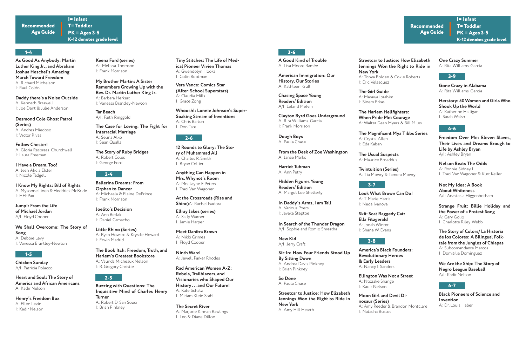**I= Infant**

**T= Toddler PK = Ages 3-5 K-12 denotes grade level**

#### **1-4**

#### **Recommended Age Guide**

**Daddy there's a Noise Outside** A: Kenneth Braswell I: Joe Dent & Julie Anderson

**Follow Chester!** A: Gloria Respress-Churchwell I: Laura Freeman

**Desmond Cole Ghost Patrol (Series)** A: Andres Miedoso

I: Victor Rivas

**Keena Ford (series)** A: Melissa Thomson I: Frank Morrison

**My Brother Martin: A Sister Remembers Growing Up with the Rev. Dr. Martin Luther King Jr.** A: Barbara Herkert I: Vanessa Brantley-Newton

**The Story of Ruby Bridges** A: Robert Coles I: George Ford

> **Ninth Ward** A: Jewell Parker Rhodes

**I= Infant T= Toddler PK = Ages 3-5 K-12 denotes grade level**

**Recommended Age Guide**

#### **3-6**

**As Good As Anybody: Martin Luther King Jr., and Abraham Joshua Heschel's Amazing March Toward Freedom**  A: Richard Michelson I: Raul Colón

**A Good Kind of Trouble**  A: Lisa Moore Ramée

**Clayton Byrd Goes Underground** A: Rita Williams-Garcia I: Frank Morrison

**Sit-In: How Four Friends Stood Up By Sitting Down**  A: Andrea Davis Pinkney I: Brian Pinkney

**In Daddy's Arms, I am Tall** A: Various Poets I: Javaka Steptoe

**The Girl Guide**  A: Marawa Ibrahim I: Sinem Erkas

**The Magnificent Mya Tibbs Series**

A: Crystal Allen I: Eda Kaban

**The Harlem Hellfighters: When Pride Met Courage** A: Walter Dean Myers & Bill Miles

**Twintuition (Series)**

A: Tia Mowry & Tamera Mowry

**One Crazy Summer** A: Rita Williams-Garcia

**Herstory: 50 Women and Girls Who Shook Up the World**  A: Katherine Halligan

I: Sarah Walsh

**Nelson Beats The Odds** A: Ronnie Sidney II I: Traci Van Wagoner & Kurt Keller

**The Story of Colors/ La Historia de los Colores: A Bilingual Folktale from the Jungles of Chiapas** A: Subcomandante Marcos I: Domitilia Domínguez

**I Know My Rights: Bill of Rights** A: Mysonne Linen & Heddrick McBride I: HH-Pax

**I Have a Dream, Too!** A: Jean Alicia Elster I: Nicole Tadgell

**Jump!: From the Life of Michael Jordan** A/I: Floyd Cooper

**Heart and Soul: The Story of America and African Americans** A: Kadir Nelson

**Henry's Freedom Box** A: Ellen Levin I: Kadir Nelson

**Little Rhino (Series)** A: Ryan Howard & Krystle Howard I: Erwin Madrid

**Joelito's Decision** A: Ann Berlak I: Daniel Camacho

**We Shall Overcome: The Story of Song** A: Debbie Levy I: Vanessa Brantley-Newton

#### **1-5**

**Chicken Sunday** A/I: Patricia Polacco

#### **2-5**

**Buzzing with Questions: The Inquisitive Mind of Charles Henry Turner** A: Robert D. San Souci I: Brian Pinkney

#### **2-6**

**12 Rounds to Glory: The Story of Muhammad Ali**  A: Charles R. Smith I: Bryan Collier

**Ellray Jakes (series)** A: Sally Warner I: Jamie Harper

**Meet Danitra Brown** A: Nikki Grimes I: Floyd Cooper

**The Secret River** A: Marjorie Kinnan Rawlings I: Leo & Diane Dillon

**American Immigration: Our History, Our Stories**  A: Kathleen Krull

> **Skit-Scat Raggedy Cat: Ella Fitzgerald** A: Jonah Winter I: Shane W. Evans

#### **3-8**

**Look What Brown Can Do!** A: T. Marie Harris I: Neda Ivanova

**Ellington Was Not a Street** A: Ntozake Shange I: Kadir Nelson

**The Usual Suspects**  A: Maurice Broaddus

#### **3-9**

**Gone Crazy in Alabama** A: Rita Williams-Garcia

**Freedom Over Me: Eleven Slaves, Their Lives and Dreams Brough to Life by Ashley Bryan** A/I: Ashley Bryan

**America's Black Founders: Revolutionary Heroes & Early Leaders** A: Nancy I. Sanders

**Tar Beach** A/I: Faith Ringgold

**The Case for Loving: The Fight for Interracial Marriage** A: Selina Alko I: Sean Qualls

#### **2-4**

**Ballerina Dreams: From Orphan to Dancer** A: Michaela & Elaine DePrince I: Frank Morrison

**The Book Itch: Freedom, Truth, and Harlem's Greatest Bookstore** A: Vaunda Micheaux Nelson I: R. Gregory Christie

**Tiny Stitches: The Life of Medical Pioneer Vivien Thomas**  A: Gwendolyn Hooks I: Colin Bootman

**Vera Vance: Comics Star (After-School Superstars)** A: Claudia Mills I: Grace Zong

**Whoosh!: Lonnie Johnson's Super-Soaking Stream of Inventions** A: Chris Barton I: Don Tate

**Anything Can Happen in Mrs. Whynot's Room** A: Mrs. Jayne E Peters I: Traci Van Wagoner

**At the Crossroads (Rise and Shine)**A: Rachel Isadora

**Rad American Women A-Z: Rebels, Trailblazers, and Visionaries who Shaped Our History . . . and Our Future!** A: Kate Schatz I: Miriam Klein Stahl

**Chasing Space Young Readers' Edition**  A/I: Leland Melvin

**Dough Boys** A: Paula Chase

**From the Desk of Zoe Washington** A: Janae Marks

**Harriet Tubman**  A: Ann Petry

**Hidden Figures Young Readers' Edition** A: Margot Lee Shetterly

**In Search of the Thunder Dragon** A/I: Sophie and Romio Shrestha

**New Kid** A/I: Jerry Craft

**So Done** A: Paula Chase

**Streetcar to Justice: How Elizabeth Jennings Won the Right to Ride in New York** A: Amy Hill Hearth

**Streetcar to Justice: How Elizabeth Jennings Won the Right to Ride in New York** A: Tonya Bolden & Cokie Roberts I: Eric Velasquez

#### **3-7**

**Moon Girl and Devil Dinosaur (Series)** A: Amy Reeder & Brandon Montclare I: Natacha Bustos

#### **4-6**

**Not My Idea: A Book About Whiteness**  A/I: Anastasia Higgenbotham

**Strange Fruit: Billie Holiday and the Power of a Protest Song** A: Gary Golio I: Charlotte Riley-Webb

**We Are the Ship: The Story of Negro League Baseball** A/I: Kadir Nelson

#### **4-7**

**Black Pioneers of Science and Invention** A: Dr. Louis Haber